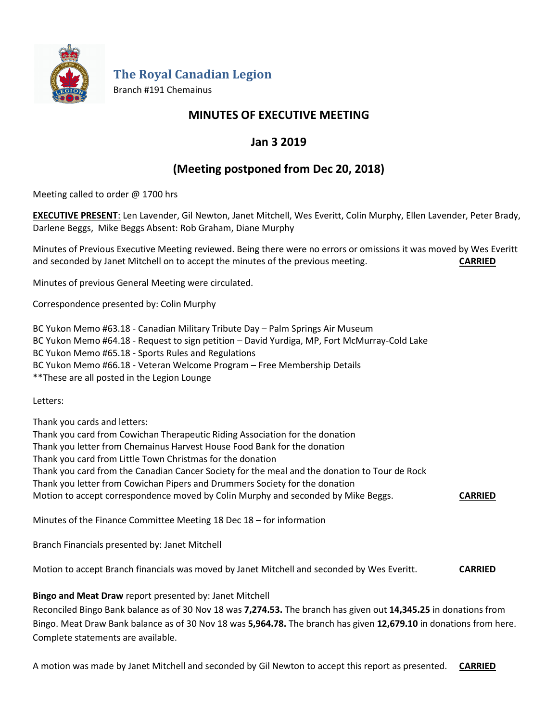

**The Royal Canadian Legion**

Branch #191 Chemainus

# **MINUTES OF EXECUTIVE MEETING**

# **Jan 3 2019**

# **(Meeting postponed from Dec 20, 2018)**

Meeting called to order @ 1700 hrs

**EXECUTIVE PRESENT**: Len Lavender, Gil Newton, Janet Mitchell, Wes Everitt, Colin Murphy, Ellen Lavender, Peter Brady, Darlene Beggs, Mike Beggs Absent: Rob Graham, Diane Murphy

Minutes of Previous Executive Meeting reviewed. Being there were no errors or omissions it was moved by Wes Everitt and seconded by Janet Mitchell on to accept the minutes of the previous meeting. **CARRIED**

Minutes of previous General Meeting were circulated.

Correspondence presented by: Colin Murphy

BC Yukon Memo #63.18 - Canadian Military Tribute Day – Palm Springs Air Museum BC Yukon Memo #64.18 - Request to sign petition – David Yurdiga, MP, Fort McMurray-Cold Lake BC Yukon Memo #65.18 - Sports Rules and Regulations BC Yukon Memo #66.18 - Veteran Welcome Program – Free Membership Details \*\*These are all posted in the Legion Lounge

Letters:

Thank you cards and letters:

Thank you card from Cowichan Therapeutic Riding Association for the donation

Thank you letter from Chemainus Harvest House Food Bank for the donation

Thank you card from Little Town Christmas for the donation

Thank you card from the Canadian Cancer Society for the meal and the donation to Tour de Rock

Thank you letter from Cowichan Pipers and Drummers Society for the donation

Motion to accept correspondence moved by Colin Murphy and seconded by Mike Beggs. **CARRIED**

Minutes of the Finance Committee Meeting 18 Dec 18 – for information

Branch Financials presented by: Janet Mitchell

Motion to accept Branch financials was moved by Janet Mitchell and seconded by Wes Everitt. **CARRIED**

## **Bingo and Meat Draw** report presented by: Janet Mitchell

Reconciled Bingo Bank balance as of 30 Nov 18 was **7,274.53.** The branch has given out **14,345.25** in donations from Bingo. Meat Draw Bank balance as of 30 Nov 18 was **5,964.78.** The branch has given **12,679.10** in donations from here. Complete statements are available.

A motion was made by Janet Mitchell and seconded by Gil Newton to accept this report as presented. **CARRIED**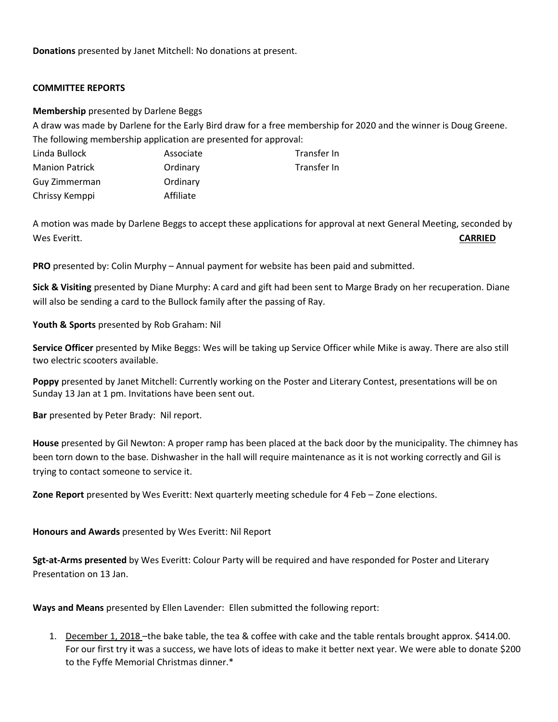**Donations** presented by Janet Mitchell: No donations at present.

#### **COMMITTEE REPORTS**

#### **Membership** presented by Darlene Beggs

A draw was made by Darlene for the Early Bird draw for a free membership for 2020 and the winner is Doug Greene. The following membership application are presented for approval:

| Linda Bullock         | Associate | Transfer In |
|-----------------------|-----------|-------------|
| <b>Manion Patrick</b> | Ordinary  | Transfer In |
| Guy Zimmerman         | Ordinary  |             |
| Chrissy Kemppi        | Affiliate |             |

A motion was made by Darlene Beggs to accept these applications for approval at next General Meeting, seconded by Wes Everitt. **CARRIED**

**PRO** presented by: Colin Murphy – Annual payment for website has been paid and submitted.

**Sick & Visiting** presented by Diane Murphy: A card and gift had been sent to Marge Brady on her recuperation. Diane will also be sending a card to the Bullock family after the passing of Ray.

### **Youth & Sports** presented by Rob Graham: Nil

**Service Officer** presented by Mike Beggs: Wes will be taking up Service Officer while Mike is away. There are also still two electric scooters available.

**Poppy** presented by Janet Mitchell: Currently working on the Poster and Literary Contest, presentations will be on Sunday 13 Jan at 1 pm. Invitations have been sent out.

**Bar** presented by Peter Brady: Nil report.

**House** presented by Gil Newton: A proper ramp has been placed at the back door by the municipality. The chimney has been torn down to the base. Dishwasher in the hall will require maintenance as it is not working correctly and Gil is trying to contact someone to service it.

**Zone Report** presented by Wes Everitt: Next quarterly meeting schedule for 4 Feb – Zone elections.

#### **Honours and Awards** presented by Wes Everitt: Nil Report

**Sgt-at-Arms presented** by Wes Everitt: Colour Party will be required and have responded for Poster and Literary Presentation on 13 Jan.

**Ways and Means** presented by Ellen Lavender: Ellen submitted the following report:

1. December 1, 2018 –the bake table, the tea & coffee with cake and the table rentals brought approx. \$414.00. For our first try it was a success, we have lots of ideas to make it better next year. We were able to donate \$200 to the Fyffe Memorial Christmas dinner.\*